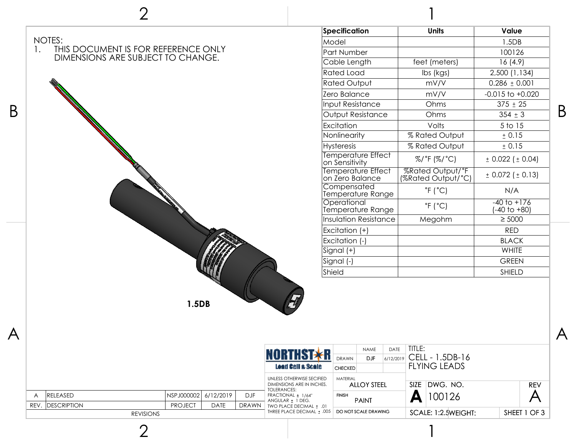| Specification<br><b>Units</b><br>Value<br>NOTES:<br>Model<br>1.5DB<br>THIS DOCUMENT IS FOR REFERENCE ONLY<br>$1_{\star}$<br>Part Number<br>100126<br>DIMENSIONS ARE SUBJECT TO CHANGE.<br>feet (meters)<br>16(4.9)<br>Cable Length<br><b>Rated Load</b><br>2,500 (1,134)<br>lbs (kgs)<br>$0.286 \pm 0.001$<br><b>Rated Output</b><br>mV/V<br>Zero Balance<br>mV/V<br>$-0.015$ to $+0.020$<br>Input Resistance<br>$375 \pm 25$<br>Ohms<br>Output Resistance<br>$354 \pm 3$<br>Ohms<br>Excitation<br>Volts<br>5 to 15<br>Nonlinearity<br>% Rated Output<br>± 0.15<br><b>Hysteresis</b><br>% Rated Output<br>± 0.15<br>Temperature Effect<br>%/°F (%/°C)<br>± 0.022 (± 0.04)<br>on Sensitivity<br>%Rated Output/°F<br>(%Rated Output/°C)<br><b>Temperature Effect</b><br>$± 0.072 (+ 0.13)$<br>on Zero Balance<br>Compensated<br>$\degree$ F ( $\degree$ C)<br>N/A<br>Temperature Range<br>Operational<br>$-40$ to $+176$<br>$^{\circ}$ F ( $^{\circ}$ C)<br>Temperature Range<br>(-40 to +80)<br><b>Insulation Resistance</b><br>Megohm<br>$\geq$ 5000<br>Excitation (+)<br><b>RED</b><br>Excitation (-)<br><b>BLACK</b><br> Signal (+)<br>WHITE<br>Signal (-)<br><b>GREEN</b><br>Shield<br>SHIELD<br>1.5DB<br>TITLE:<br>DATE<br><b>NAME</b><br><b>NORTHST*R</b><br>CELL - 1.5DB-16<br><b>DRAWN</b><br><b>DJF</b><br>6/12/2019<br><b>FLYING LEADS</b><br><b>Lead Call &amp; Scale</b><br><b>CHECKED</b><br>UNLESS OTHERWISE SECIFIED<br>MATERIAL<br>SIZE DWG. NO.<br>DIMENSIONS ARE IN INCHES.<br><b>ALLOY STEEL</b><br><b>REV</b><br><b>TOLERANCES:</b><br>$\boldsymbol{\mathsf{A}}$<br>$\mathsf{A}$ 100126<br>RELEASED<br>NSPJ000002<br>6/12/2019<br><b>DJF</b><br>FRACTIONAL ± 1/64"<br><b>FINISH</b><br>A<br><b>PAINT</b><br>ANGULAR ± 1 DEG.<br>REV. DESCRIPTION<br><b>PROJECT</b><br><b>DATE</b><br>DRAWN<br>TWO PLACE DECIMAL ± .01<br>THREE PLACE DECIMAL ± .005<br>SCALE: 1:2.5WEIGHT:<br>DO NOT SCALE DRAWING<br>SHEET 1 OF 3<br><b>REVISIONS</b> |                         | $\overline{2}$ |  |  |  |  |  |                         |
|-----------------------------------------------------------------------------------------------------------------------------------------------------------------------------------------------------------------------------------------------------------------------------------------------------------------------------------------------------------------------------------------------------------------------------------------------------------------------------------------------------------------------------------------------------------------------------------------------------------------------------------------------------------------------------------------------------------------------------------------------------------------------------------------------------------------------------------------------------------------------------------------------------------------------------------------------------------------------------------------------------------------------------------------------------------------------------------------------------------------------------------------------------------------------------------------------------------------------------------------------------------------------------------------------------------------------------------------------------------------------------------------------------------------------------------------------------------------------------------------------------------------------------------------------------------------------------------------------------------------------------------------------------------------------------------------------------------------------------------------------------------------------------------------------------------------------------------------------------------------------------------------------------------------------------------------------------------|-------------------------|----------------|--|--|--|--|--|-------------------------|
|                                                                                                                                                                                                                                                                                                                                                                                                                                                                                                                                                                                                                                                                                                                                                                                                                                                                                                                                                                                                                                                                                                                                                                                                                                                                                                                                                                                                                                                                                                                                                                                                                                                                                                                                                                                                                                                                                                                                                           |                         |                |  |  |  |  |  |                         |
|                                                                                                                                                                                                                                                                                                                                                                                                                                                                                                                                                                                                                                                                                                                                                                                                                                                                                                                                                                                                                                                                                                                                                                                                                                                                                                                                                                                                                                                                                                                                                                                                                                                                                                                                                                                                                                                                                                                                                           |                         |                |  |  |  |  |  |                         |
|                                                                                                                                                                                                                                                                                                                                                                                                                                                                                                                                                                                                                                                                                                                                                                                                                                                                                                                                                                                                                                                                                                                                                                                                                                                                                                                                                                                                                                                                                                                                                                                                                                                                                                                                                                                                                                                                                                                                                           |                         |                |  |  |  |  |  |                         |
|                                                                                                                                                                                                                                                                                                                                                                                                                                                                                                                                                                                                                                                                                                                                                                                                                                                                                                                                                                                                                                                                                                                                                                                                                                                                                                                                                                                                                                                                                                                                                                                                                                                                                                                                                                                                                                                                                                                                                           |                         |                |  |  |  |  |  |                         |
|                                                                                                                                                                                                                                                                                                                                                                                                                                                                                                                                                                                                                                                                                                                                                                                                                                                                                                                                                                                                                                                                                                                                                                                                                                                                                                                                                                                                                                                                                                                                                                                                                                                                                                                                                                                                                                                                                                                                                           |                         |                |  |  |  |  |  |                         |
|                                                                                                                                                                                                                                                                                                                                                                                                                                                                                                                                                                                                                                                                                                                                                                                                                                                                                                                                                                                                                                                                                                                                                                                                                                                                                                                                                                                                                                                                                                                                                                                                                                                                                                                                                                                                                                                                                                                                                           | B                       |                |  |  |  |  |  |                         |
|                                                                                                                                                                                                                                                                                                                                                                                                                                                                                                                                                                                                                                                                                                                                                                                                                                                                                                                                                                                                                                                                                                                                                                                                                                                                                                                                                                                                                                                                                                                                                                                                                                                                                                                                                                                                                                                                                                                                                           |                         |                |  |  |  |  |  |                         |
|                                                                                                                                                                                                                                                                                                                                                                                                                                                                                                                                                                                                                                                                                                                                                                                                                                                                                                                                                                                                                                                                                                                                                                                                                                                                                                                                                                                                                                                                                                                                                                                                                                                                                                                                                                                                                                                                                                                                                           |                         |                |  |  |  |  |  |                         |
|                                                                                                                                                                                                                                                                                                                                                                                                                                                                                                                                                                                                                                                                                                                                                                                                                                                                                                                                                                                                                                                                                                                                                                                                                                                                                                                                                                                                                                                                                                                                                                                                                                                                                                                                                                                                                                                                                                                                                           |                         |                |  |  |  |  |  | B                       |
|                                                                                                                                                                                                                                                                                                                                                                                                                                                                                                                                                                                                                                                                                                                                                                                                                                                                                                                                                                                                                                                                                                                                                                                                                                                                                                                                                                                                                                                                                                                                                                                                                                                                                                                                                                                                                                                                                                                                                           |                         |                |  |  |  |  |  |                         |
|                                                                                                                                                                                                                                                                                                                                                                                                                                                                                                                                                                                                                                                                                                                                                                                                                                                                                                                                                                                                                                                                                                                                                                                                                                                                                                                                                                                                                                                                                                                                                                                                                                                                                                                                                                                                                                                                                                                                                           |                         |                |  |  |  |  |  |                         |
|                                                                                                                                                                                                                                                                                                                                                                                                                                                                                                                                                                                                                                                                                                                                                                                                                                                                                                                                                                                                                                                                                                                                                                                                                                                                                                                                                                                                                                                                                                                                                                                                                                                                                                                                                                                                                                                                                                                                                           |                         |                |  |  |  |  |  |                         |
|                                                                                                                                                                                                                                                                                                                                                                                                                                                                                                                                                                                                                                                                                                                                                                                                                                                                                                                                                                                                                                                                                                                                                                                                                                                                                                                                                                                                                                                                                                                                                                                                                                                                                                                                                                                                                                                                                                                                                           |                         |                |  |  |  |  |  |                         |
|                                                                                                                                                                                                                                                                                                                                                                                                                                                                                                                                                                                                                                                                                                                                                                                                                                                                                                                                                                                                                                                                                                                                                                                                                                                                                                                                                                                                                                                                                                                                                                                                                                                                                                                                                                                                                                                                                                                                                           |                         |                |  |  |  |  |  |                         |
|                                                                                                                                                                                                                                                                                                                                                                                                                                                                                                                                                                                                                                                                                                                                                                                                                                                                                                                                                                                                                                                                                                                                                                                                                                                                                                                                                                                                                                                                                                                                                                                                                                                                                                                                                                                                                                                                                                                                                           |                         |                |  |  |  |  |  |                         |
|                                                                                                                                                                                                                                                                                                                                                                                                                                                                                                                                                                                                                                                                                                                                                                                                                                                                                                                                                                                                                                                                                                                                                                                                                                                                                                                                                                                                                                                                                                                                                                                                                                                                                                                                                                                                                                                                                                                                                           |                         |                |  |  |  |  |  |                         |
|                                                                                                                                                                                                                                                                                                                                                                                                                                                                                                                                                                                                                                                                                                                                                                                                                                                                                                                                                                                                                                                                                                                                                                                                                                                                                                                                                                                                                                                                                                                                                                                                                                                                                                                                                                                                                                                                                                                                                           |                         |                |  |  |  |  |  |                         |
|                                                                                                                                                                                                                                                                                                                                                                                                                                                                                                                                                                                                                                                                                                                                                                                                                                                                                                                                                                                                                                                                                                                                                                                                                                                                                                                                                                                                                                                                                                                                                                                                                                                                                                                                                                                                                                                                                                                                                           |                         |                |  |  |  |  |  |                         |
|                                                                                                                                                                                                                                                                                                                                                                                                                                                                                                                                                                                                                                                                                                                                                                                                                                                                                                                                                                                                                                                                                                                                                                                                                                                                                                                                                                                                                                                                                                                                                                                                                                                                                                                                                                                                                                                                                                                                                           |                         |                |  |  |  |  |  |                         |
|                                                                                                                                                                                                                                                                                                                                                                                                                                                                                                                                                                                                                                                                                                                                                                                                                                                                                                                                                                                                                                                                                                                                                                                                                                                                                                                                                                                                                                                                                                                                                                                                                                                                                                                                                                                                                                                                                                                                                           |                         |                |  |  |  |  |  |                         |
|                                                                                                                                                                                                                                                                                                                                                                                                                                                                                                                                                                                                                                                                                                                                                                                                                                                                                                                                                                                                                                                                                                                                                                                                                                                                                                                                                                                                                                                                                                                                                                                                                                                                                                                                                                                                                                                                                                                                                           |                         |                |  |  |  |  |  |                         |
|                                                                                                                                                                                                                                                                                                                                                                                                                                                                                                                                                                                                                                                                                                                                                                                                                                                                                                                                                                                                                                                                                                                                                                                                                                                                                                                                                                                                                                                                                                                                                                                                                                                                                                                                                                                                                                                                                                                                                           |                         |                |  |  |  |  |  |                         |
|                                                                                                                                                                                                                                                                                                                                                                                                                                                                                                                                                                                                                                                                                                                                                                                                                                                                                                                                                                                                                                                                                                                                                                                                                                                                                                                                                                                                                                                                                                                                                                                                                                                                                                                                                                                                                                                                                                                                                           | $\overline{\mathsf{A}}$ |                |  |  |  |  |  | $\overline{\mathsf{A}}$ |
|                                                                                                                                                                                                                                                                                                                                                                                                                                                                                                                                                                                                                                                                                                                                                                                                                                                                                                                                                                                                                                                                                                                                                                                                                                                                                                                                                                                                                                                                                                                                                                                                                                                                                                                                                                                                                                                                                                                                                           |                         |                |  |  |  |  |  |                         |
|                                                                                                                                                                                                                                                                                                                                                                                                                                                                                                                                                                                                                                                                                                                                                                                                                                                                                                                                                                                                                                                                                                                                                                                                                                                                                                                                                                                                                                                                                                                                                                                                                                                                                                                                                                                                                                                                                                                                                           |                         |                |  |  |  |  |  |                         |
|                                                                                                                                                                                                                                                                                                                                                                                                                                                                                                                                                                                                                                                                                                                                                                                                                                                                                                                                                                                                                                                                                                                                                                                                                                                                                                                                                                                                                                                                                                                                                                                                                                                                                                                                                                                                                                                                                                                                                           |                         |                |  |  |  |  |  |                         |
|                                                                                                                                                                                                                                                                                                                                                                                                                                                                                                                                                                                                                                                                                                                                                                                                                                                                                                                                                                                                                                                                                                                                                                                                                                                                                                                                                                                                                                                                                                                                                                                                                                                                                                                                                                                                                                                                                                                                                           |                         |                |  |  |  |  |  |                         |

1

2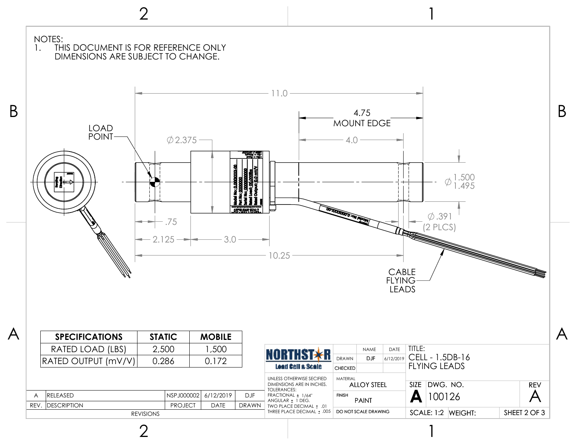